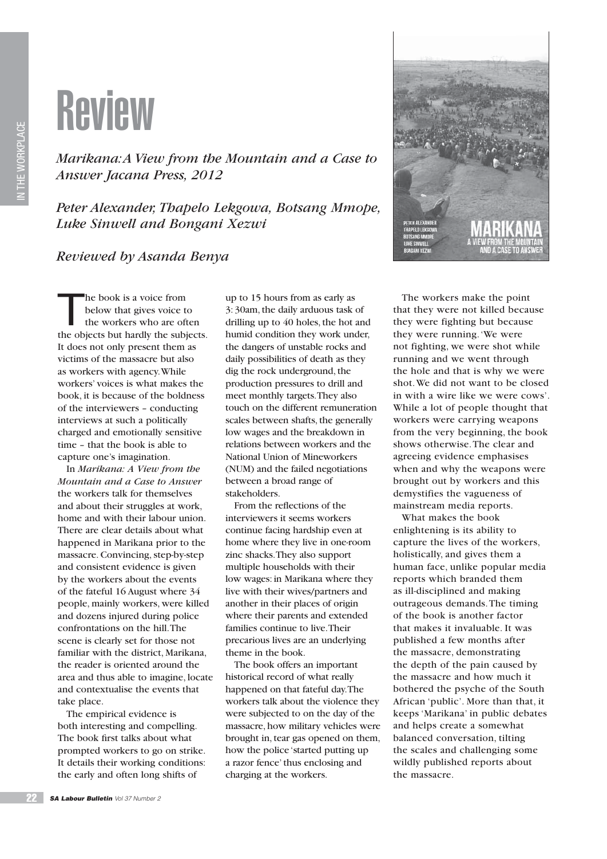

*Marikana: A View from the Mountain and a Case to Answer Jacana Press, 2012*

*Peter Alexander, Thapelo Lekgowa, Botsang Mmope, Luke Sinwell and Bongani Xezwi*

## *Reviewed by Asanda Benya*



The book is a voice from<br>below that gives voice to<br>the workers who are oft below that gives voice to the workers who are often the objects but hardly the subjects. It does not only present them as victims of the massacre but also as workers with agency. While workers' voices is what makes the book, it is because of the boldness of the interviewers – conducting interviews at such a politically charged and emotionally sensitive time – that the book is able to capture one's imagination.

In *Marikana: A View from the Mountain and a Case to Answer*  the workers talk for themselves and about their struggles at work, home and with their labour union. There are clear details about what happened in Marikana prior to the massacre. Convincing, step-by-step and consistent evidence is given by the workers about the events of the fateful 16 August where 34 people, mainly workers, were killed and dozens injured during police confrontations on the hill. The scene is clearly set for those not familiar with the district, Marikana, the reader is oriented around the area and thus able to imagine, locate and contextualise the events that take place.

The empirical evidence is both interesting and compelling. The book first talks about what prompted workers to go on strike. It details their working conditions: the early and often long shifts of

up to 15 hours from as early as 3: 30am, the daily arduous task of drilling up to 40 holes, the hot and humid condition they work under, the dangers of unstable rocks and daily possibilities of death as they dig the rock underground, the production pressures to drill and meet monthly targets. They also touch on the different remuneration scales between shafts, the generally low wages and the breakdown in relations between workers and the National Union of Mineworkers (NUM) and the failed negotiations between a broad range of stakeholders.

From the reflections of the interviewers it seems workers continue facing hardship even at home where they live in one-room zinc shacks. They also support multiple households with their low wages: in Marikana where they live with their wives/partners and another in their places of origin where their parents and extended families continue to live. Their precarious lives are an underlying theme in the book.

The book offers an important historical record of what really happened on that fateful day. The workers talk about the violence they were subjected to on the day of the massacre, how military vehicles were brought in, tear gas opened on them, how the police 'started putting up a razor fence' thus enclosing and charging at the workers.

The workers make the point that they were not killed because they were fighting but because they were running. 'We were not fighting, we were shot while running and we went through the hole and that is why we were shot. We did not want to be closed in with a wire like we were cows'. While a lot of people thought that workers were carrying weapons from the very beginning, the book shows otherwise. The clear and agreeing evidence emphasises when and why the weapons were brought out by workers and this demystifies the vagueness of mainstream media reports.

What makes the book enlightening is its ability to capture the lives of the workers, holistically, and gives them a human face, unlike popular media reports which branded them as ill-disciplined and making outrageous demands. The timing of the book is another factor that makes it invaluable. It was published a few months after the massacre, demonstrating the depth of the pain caused by the massacre and how much it bothered the psyche of the South African 'public'. More than that, it keeps 'Marikana' in public debates and helps create a somewhat balanced conversation, tilting the scales and challenging some wildly published reports about the massacre.